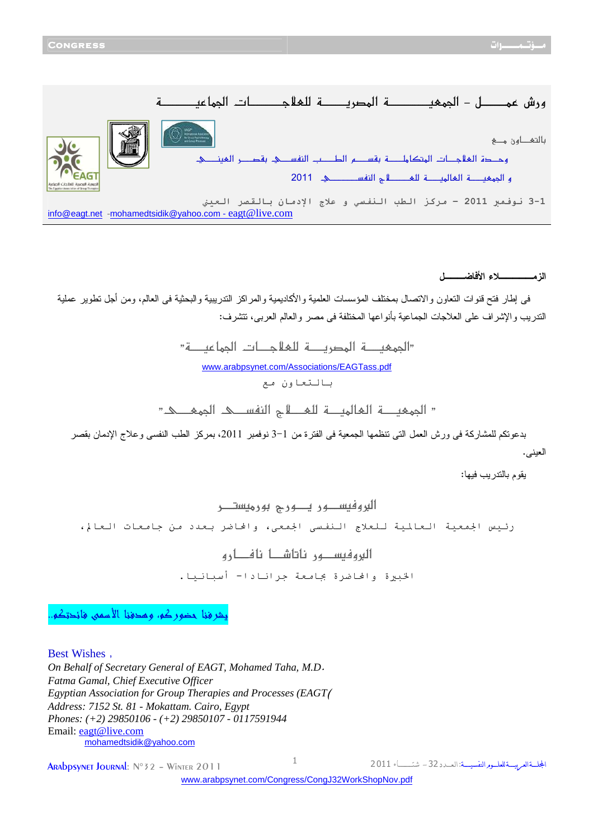< <<<í{{{{{{{{{{{{{{{{{éÂ^Û¢]<l^{{{{{{{{{{{{{{{{qøÃ×Ö<í{{{{{{{{{{{{膒¹]<í{{{{{{{{{{{{{{{{{{{{éÃÛ¢] **<I Ø{{{{{{{{{{{{ÛÂ<÷…æ**  $\circledR$  in the set of  $\circledR$  $_{\odot}$ بالتھ\_اون مے < <<ê{{{{{{{{ßéÃÖ]<†{{{{{{{{'Ïe<ê{{{{{{{ŠËßÖ]<g{{{{{{{{{ŞÖ]<Ü{{{{{{{{{ŠÏe<í{{{{{{{{{{×Ú^Ój¹]<l^{{{{{{qøÃÖ]<ì'{{{{{uæ  ${\sf z}$ و الجمعية العالمية للغطاء والنفسط عن 2011 1-3 نوفمبر 2011 - مركز الطب النفسي و علاج الإدمان بالقصر العيني info@eagt.net - mohamedtsidik@yahoo.com - eagt@live.com

**الزمـــــلاء الأفاضـــل**

 فى إطار فتح قنوات التعاون والاتصال بمختلف المؤسسات العلمية والأكاديمية والمراكز التدريبية والبحثية فى العالم، ومن أجل تطوير عملية التدريب والإشراف على العلاجات الجماعية بأنواعها المختلفة فى مصر والعالم العربى، تتشرف :

> "الجمعة المصربية للعلاجيات الجراعبية" [www.arabpsynet.com/Associations/EAGTass.pdf](www.arabpsynet.com/Associations/EAGTass.pdf )  بالتعاون مع

 $"$  الجمعية العالمية للعظم النفسك الجمعي

 بدعوتكم للمشاركة فى ورش العمل التى تنظمها الجمعية فى الفترة من 3-1 نوفمبر ،2011 بمركز الطب النفسى وعلاج الإدمان بقصر العينى.

يقوم بالتدريب فيها :

**|البروفيســـور يــــورج بورميستــــر** رئيس الجمعية العالمية للعلاج النفسى الجمعى، والحاضر بعدد من جامعات العالم،

> **< <æ…^ {{{{{{ Ê^Þ<^ {{{{{{ ^i^Þ<…ç {{{{{{ ŠéÊæÖ]** الخبيرة والحاضرة بجامعة جرانادا- أسبانيا.

يشرفنا حضوركم، وهدفنا الأسمى فائدتكم..

Best Wishes ,

*On Behalf of Secretary General of EAGT, Mohamed Taha, M.D*. *Fatma Gamal, Chief Executive Officer Egyptian Association for Group Therapies and Processes (EAGT*( *Address: 7152 St. 81 - Mokattam. Cairo, Egypt Phones: (+2) 29850106 - (+2) 29850107 - 0117591944*  Email: eagt@live.com mohamedtsidik@yahoo.com

 $\frac{1}{2}$  Arabpsynet Journal:  $N^{\circ}$  32 - Winter 2011

الجلة العربية للعلسوم النفسيسة: العسدد 32 - شتـــاء 2011

[www.arabpsynet.com/Congress/CongJ32WorkShopNov.pdf](www.arabpsynet.com/Congress/CongJ32WorkShopNov.pdf )